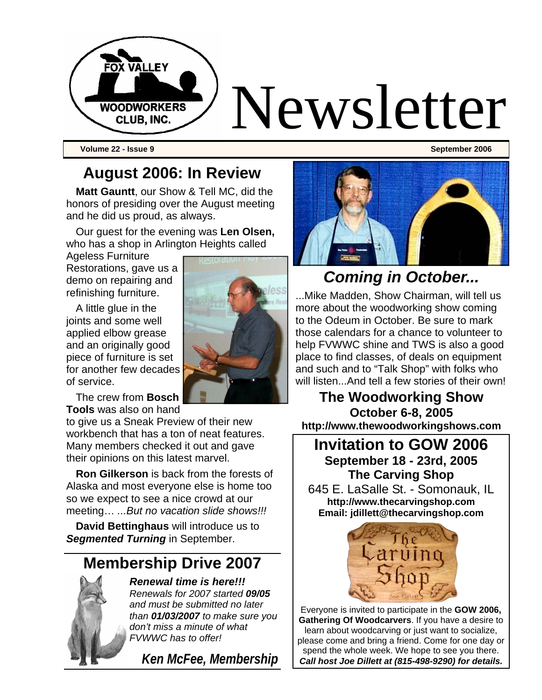

**Volume 22 - Issue 9 September 2006 September 2006** 

### **August 2006: In Review**

**Matt Gauntt**, our Show & Tell MC, did the honors of presiding over the August meeting and he did us proud, as always.

Our guest for the evening was **Len Olsen,**  who has a shop in Arlington Heights called

Ageless Furniture Restorations, gave us a demo on repairing and refinishing furniture.

A little glue in the joints and some well applied elbow grease and an originally good piece of furniture is set for another few decades of service.

The crew from **Bosch Tools** was also on hand

to give us a Sneak Preview of their new workbench that has a ton of neat features. Many members checked it out and gave their opinions on this latest marvel.

**Ron Gilkerson** is back from the forests of Alaska and most everyone else is home too so we expect to see a nice crowd at our meeting… *...But no vacation slide shows!!!*

**David Bettinghaus** will introduce us to *Segmented Turning* in September.

#### **Membership Drive 2007**



*Renewal time is here!!! Renewals for 2007 started 09/05 and must be submitted no later than 01/03/2007 to make sure you don't miss a minute of what FVWWC has to offer!*

*Ken McFee, Membership* 



## *Coming in October...*

...Mike Madden, Show Chairman, will tell us more about the woodworking show coming to the Odeum in October. Be sure to mark those calendars for a chance to volunteer to help FVWWC shine and TWS is also a good place to find classes, of deals on equipment and such and to "Talk Shop" with folks who will listen...And tell a few stories of their own!

**The Woodworking Show October 6-8, 2005 http://www.thewoodworkingshows.com** 

#### **Invitation to GOW 2006 September 18 - 23rd, 2005 The Carving Shop**

645 E. LaSalle St. - Somonauk, IL **http://www.thecarvingshop.com Email: jdillett@thecarvingshop.com**



Everyone is invited to participate in the **GOW 2006, Gathering Of Woodcarvers**. If you have a desire to learn about woodcarving or just want to socialize, please come and bring a friend. Come for one day or spend the whole week. We hope to see you there. *Call host Joe Dillett at (815-498-9290) for details.*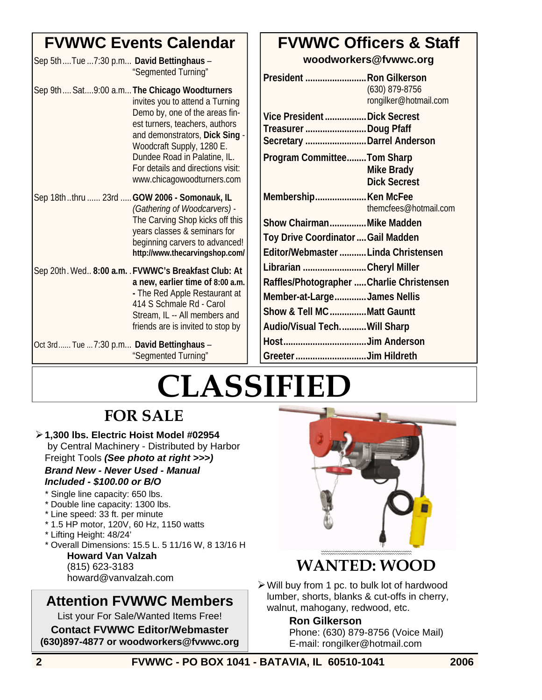## **FVWWC Events Calendar**

| Sep 5thTue 7:30 p.m David Bettinghaus -<br>"Segmented Turning"                                                                                                                                                                                                                                                       |  |
|----------------------------------------------------------------------------------------------------------------------------------------------------------------------------------------------------------------------------------------------------------------------------------------------------------------------|--|
| Sep 9th Sat9:00 a.m The Chicago Woodturners<br>invites you to attend a Turning<br>Demo by, one of the areas fin-<br>est turners, teachers, authors<br>and demonstrators, Dick Sing -<br>Woodcraft Supply, 1280 E.<br>Dundee Road in Palatine, IL.<br>For details and directions visit:<br>www.chicagowoodturners.com |  |
| Sep 18ththru  23rd  GOW 2006 - Somonauk, IL<br>(Gathering of Woodcarvers) -<br>The Carving Shop kicks off this<br>years classes & seminars for<br>beginning carvers to advanced!<br>http://www.thecarvingshop.com/                                                                                                   |  |
| Sep 20th. Wed 8:00 a.m. . FVWWC's Breakfast Club: At<br>a new, earlier time of 8:00 a.m.<br>- The Red Apple Restaurant at<br>414 S Schmale Rd - Carol<br>Stream, IL -- All members and<br>friends are is invited to stop by                                                                                          |  |
| Oct 3rd Tue  7:30 p.m David Bettinghaus -<br>"Segmented Turning"                                                                                                                                                                                                                                                     |  |

## **FVWWC Officers & Staff**

**woodworkers@fvwwc.org** 

| President  Ron Gilkerson                  | (630) 879-8756<br>rongilker@hotmail.com |
|-------------------------------------------|-----------------------------------------|
| Vice President  Dick Secrest              |                                         |
| Treasurer Doug Pfaff                      |                                         |
| Secretary Darrel Anderson                 |                                         |
| Program CommitteeTom Sharp                |                                         |
|                                           | <b>Mike Brady</b>                       |
|                                           | <b>Dick Secrest</b>                     |
| Membership Ken McFee                      |                                         |
|                                           | themcfees@hotmail.com                   |
| Show Chairman Mike Madden                 |                                         |
| Toy Drive Coordinator  Gail Madden        |                                         |
| Editor/Webmaster Linda Christensen        |                                         |
| Librarian Cheryl Miller                   |                                         |
| Raffles/Photographer  Charlie Christensen |                                         |
| Member-at-LargeJames Nellis               |                                         |
| Show & Tell MC Matt Gauntt                |                                         |
| Audio/Visual TechWill Sharp               |                                         |
| HostJim Anderson                          |                                         |
| Greeter Jim Hildreth                      |                                         |

# **CLASSIFIED**

# **FOR SALE**

- ¾ **1,300 lbs. Electric Hoist Model #02954** by Central Machinery - Distributed by Harbor Freight Tools *(See photo at right >>>) Brand New - Never Used - Manual Included - \$100.00 or B/O* 
	- \* Single line capacity: 650 lbs.
	- \* Double line capacity: 1300 lbs.
	- \* Line speed: 33 ft. per minute
	- \* 1.5 HP motor, 120V, 60 Hz, 1150 watts
	- \* Lifting Height: 48/24'
	- \* Overall Dimensions: 15.5 L. 5 11/16 W, 8 13/16 H **Howard Van Valzah**  (815) 623-3183 howard@vanvalzah.com

### **Attention FVWWC Members**

List your For Sale/Wanted Items Free! **Contact FVWWC Editor/Webmaster (630)897-4877 or woodworkers@fvwwc.org** 



# **WANTED: WOOD**

 $\triangleright$  Will buy from 1 pc. to bulk lot of hardwood lumber, shorts, blanks & cut-offs in cherry, walnut, mahogany, redwood, etc.

#### **Ron Gilkerson**

Phone: (630) 879-8756 (Voice Mail) E-mail: rongilker@hotmail.com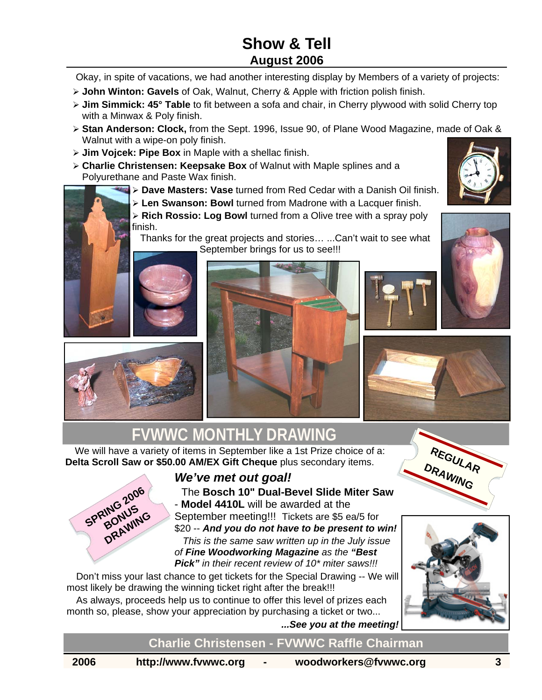#### **Show & Tell August 2006**

Okay, in spite of vacations, we had another interesting display by Members of a variety of projects:

- ¾ **John Winton: Gavels** of Oak, Walnut, Cherry & Apple with friction polish finish.
- ¾ **Jim Simmick: 45° Table** to fit between a sofa and chair, in Cherry plywood with solid Cherry top with a Minwax & Poly finish.
- ¾ **Stan Anderson: Clock,** from the Sept. 1996, Issue 90, of Plane Wood Magazine, made of Oak & Walnut with a wipe-on poly finish.
- ¾ **Jim Vojcek: Pipe Box** in Maple with a shellac finish.
- ¾ **Charlie Christensen: Keepsake Box** of Walnut with Maple splines and a Polyurethane and Paste Wax finish.
	- ¾ **Dave Masters: Vase** turned from Red Cedar with a Danish Oil finish.
	- ¾ **Len Swanson: Bowl** turned from Madrone with a Lacquer finish.

¾ **Rich Rossio: Log Bowl** turned from a Olive tree with a spray poly finish.



 Thanks for the great projects and stories… ...Can't wait to see what September brings for us to see!!!











## **FVWWC MONTHLY DRAWING**

We will have a variety of items in September like a 1st Prize choice of a: **Delta Scroll Saw or \$50.00 AM/EX Gift Cheque** plus secondary items.





#### *We've met out goal!*

The **Bosch 10" Dual-Bevel Slide Miter Saw**  - **Model 4410L** will be awarded at the September meeting!!!Tickets are \$5 ea/5 for \$20 -- *And you do not have to be present to win! This is the same saw written up in the July issue of Fine Woodworking Magazine as the "Best Pick" in their recent review of 10\* miter saws!!!* 

Don't miss your last chance to get tickets for the Special Drawing -- We will most likely be drawing the winning ticket right after the break!!!

As always, proceeds help us to continue to offer this level of prizes each month so, please, show your appreciation by purchasing a ticket or two...



*...See you at the meeting!*

#### **Charlie Christensen - FVWWC Raffle Chairman**

**2006 http://www.fvwwc.org - woodworkers@fvwwc.org 3**